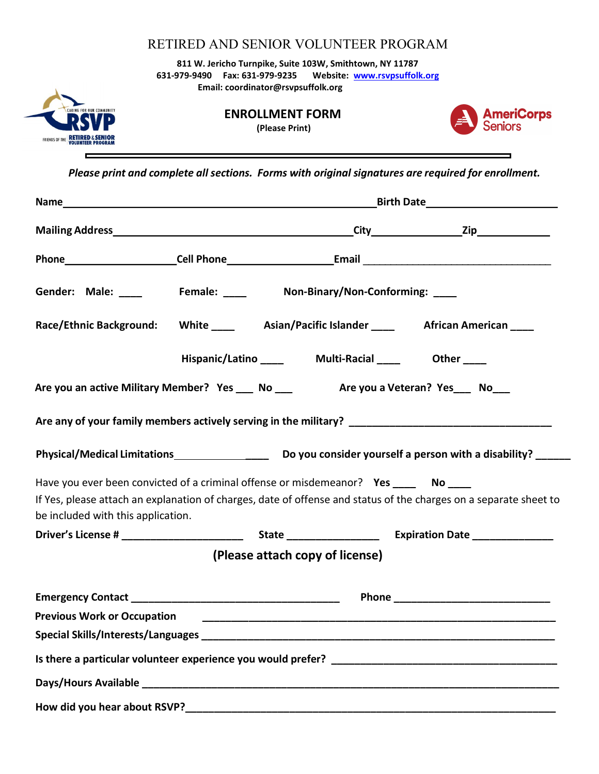RETIRED AND SENIOR VOLUNTEER PROGRAM 811 W. Jericho Turnpike, Suite 103W, Smithtown, NY 11787 631-979-9490 Fax: 631-979-9235 Website: www.rsvpsuffolk.org Email: coordinator@rsvpsuffolk.org



п

## ENROLLMENT FORM

(Please Print)



Please print and complete all sections. Forms with original signatures are required for enrollment.

| Gender: Male: ____ Female: ____ Non-Binary/Non-Conforming: ___                       |                                                    |                                 |                                                                                                                       |
|--------------------------------------------------------------------------------------|----------------------------------------------------|---------------------------------|-----------------------------------------------------------------------------------------------------------------------|
|                                                                                      |                                                    |                                 | Race/Ethnic Background: White ____ Asian/Pacific Islander ____ African American ___                                   |
|                                                                                      | Hispanic/Latino _____ Multi-Racial ____ Other ____ |                                 |                                                                                                                       |
| Are you an active Military Member? Yes ___ No ___ Are you a Veteran? Yes ___ No __   |                                                    |                                 |                                                                                                                       |
|                                                                                      |                                                    |                                 | Are any of your family members actively serving in the military? ___________________________________                  |
|                                                                                      |                                                    |                                 |                                                                                                                       |
| Have you ever been convicted of a criminal offense or misdemeanor? Yes _____ No ____ |                                                    |                                 |                                                                                                                       |
| be included with this application.                                                   |                                                    |                                 | If Yes, please attach an explanation of charges, date of offense and status of the charges on a separate sheet to     |
|                                                                                      |                                                    |                                 |                                                                                                                       |
|                                                                                      |                                                    | (Please attach copy of license) |                                                                                                                       |
| Emergency Contact <u>Executive Contact</u>                                           |                                                    |                                 |                                                                                                                       |
| <b>Previous Work or Occupation</b>                                                   |                                                    |                                 | <u> 1989 - Andrej Sterne Sterne Sterne Sterne Sterne Sterne Sterne Sterne Sterne Sterne Sterne Sterne Sterne Ster</u> |
|                                                                                      |                                                    |                                 |                                                                                                                       |
|                                                                                      |                                                    |                                 |                                                                                                                       |
|                                                                                      |                                                    |                                 |                                                                                                                       |
|                                                                                      |                                                    |                                 |                                                                                                                       |